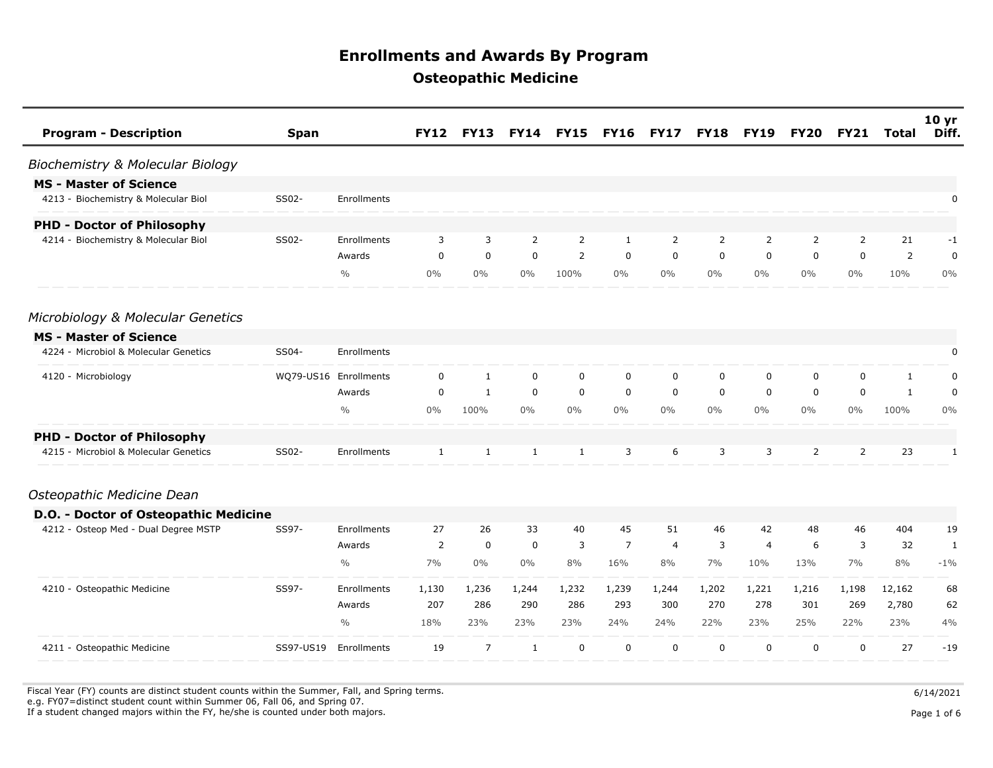| <b>Program - Description</b><br><b>Span</b>    |                       | <b>FY12</b>  | <b>FY13</b>    | <b>FY14</b>    | <b>FY15</b>    | <b>FY16</b>    | <b>FY17</b>    | <b>FY18</b>    | <b>FY19</b>    | <b>FY20</b>    | <b>FY21</b>    | <b>Total</b> | 10 <sub>yr</sub><br>Diff. |
|------------------------------------------------|-----------------------|--------------|----------------|----------------|----------------|----------------|----------------|----------------|----------------|----------------|----------------|--------------|---------------------------|
| Biochemistry & Molecular Biology               |                       |              |                |                |                |                |                |                |                |                |                |              |                           |
| <b>MS - Master of Science</b>                  |                       |              |                |                |                |                |                |                |                |                |                |              |                           |
| 4213 - Biochemistry & Molecular Biol<br>SS02-  | Enrollments           |              |                |                |                |                |                |                |                |                |                |              | 0                         |
| <b>PHD - Doctor of Philosophy</b>              |                       |              |                |                |                |                |                |                |                |                |                |              |                           |
| 4214 - Biochemistry & Molecular Biol<br>SS02-  | Enrollments           | 3            | 3              | $\overline{2}$ | $\overline{2}$ | 1              | 2              | $\overline{2}$ | $\overline{2}$ | 2              | 2              | 21           | $-1$                      |
|                                                | Awards                | $\mathbf 0$  | $\mathbf 0$    | $\mathbf 0$    | 2              | $\mathbf 0$    | $\mathbf 0$    | $\mathbf 0$    | $\mathbf 0$    | $\Omega$       | $\mathbf 0$    | 2            | 0                         |
|                                                | $\frac{0}{0}$         | $0\%$        | $0\%$          | $0\%$          | 100%           | $0\%$          | $0\%$          | $0\%$          | $0\%$          | $0\%$          | $0\%$          | 10%          | $0\%$                     |
| Microbiology & Molecular Genetics              |                       |              |                |                |                |                |                |                |                |                |                |              |                           |
| <b>MS - Master of Science</b>                  |                       |              |                |                |                |                |                |                |                |                |                |              |                           |
| 4224 - Microbiol & Molecular Genetics<br>SS04- | Enrollments           |              |                |                |                |                |                |                |                |                |                |              | 0                         |
| 4120 - Microbiology                            | WQ79-US16 Enrollments | $\mathbf 0$  | $\mathbf{1}$   | $\mathbf 0$    | $\mathbf 0$    | $\mathbf 0$    | $\mathbf 0$    | $\mathbf 0$    | $\mathbf 0$    | $\mathbf 0$    | $\mathbf 0$    | $\mathbf{1}$ | 0                         |
|                                                | Awards                | $\mathbf 0$  | $\mathbf{1}$   | $\mathbf 0$    | $\mathbf 0$    | $\mathbf 0$    | $\mathbf 0$    | $\mathbf 0$    | $\mathbf 0$    | $\mathbf 0$    | $\mathbf 0$    | $\mathbf{1}$ | 0                         |
|                                                | $\frac{0}{0}$         | 0%           | 100%           | $0\%$          | $0\%$          | $0\%$          | $0\%$          | $0\%$          | $0\%$          | 0%             | $0\%$          | 100%         | $0\%$                     |
| <b>PHD - Doctor of Philosophy</b>              |                       |              |                |                |                |                |                |                |                |                |                |              |                           |
| 4215 - Microbiol & Molecular Genetics<br>SS02- | Enrollments           | $\mathbf{1}$ | $\mathbf{1}$   | $\mathbf{1}$   | $\mathbf{1}$   | 3              | 6              | 3              | 3              | $\overline{2}$ | $\overline{2}$ | 23           | $\mathbf{1}$              |
| Osteopathic Medicine Dean                      |                       |              |                |                |                |                |                |                |                |                |                |              |                           |
| D.O. - Doctor of Osteopathic Medicine          |                       |              |                |                |                |                |                |                |                |                |                |              |                           |
| 4212 - Osteop Med - Dual Degree MSTP<br>SS97-  | Enrollments           | 27           | 26             | 33             | 40             | 45             | 51             | 46             | 42             | 48             | 46             | 404          | 19                        |
|                                                | Awards                | 2            | $\mathbf 0$    | $\mathbf 0$    | 3              | $\overline{7}$ | $\overline{4}$ | 3              | $\overline{4}$ | 6              | 3              | 32           | 1                         |
|                                                | $\frac{0}{0}$         | 7%           | $0\%$          | $0\%$          | 8%             | 16%            | 8%             | 7%             | 10%            | 13%            | 7%             | 8%           | $-1\%$                    |
| SS97-<br>4210 - Osteopathic Medicine           | Enrollments           | 1,130        | 1,236          | 1,244          | 1,232          | 1,239          | 1,244          | 1,202          | 1,221          | 1,216          | 1,198          | 12,162       | 68                        |
|                                                | Awards                | 207          | 286            | 290            | 286            | 293            | 300            | 270            | 278            | 301            | 269            | 2,780        | 62                        |
|                                                | $\frac{0}{0}$         | 18%          | 23%            | 23%            | 23%            | 24%            | 24%            | 22%            | 23%            | 25%            | 22%            | 23%          | 4%                        |
| SS97-US19<br>4211 - Osteopathic Medicine       | Enrollments           | 19           | $\overline{7}$ | $\mathbf{1}$   | $\mathbf 0$    | $\mathbf 0$    | $\mathbf 0$    | $\mathbf 0$    | $\mathbf 0$    | $\mathbf 0$    | $\mathbf 0$    | 27           | $-19$                     |

Fiscal Year (FY) counts are distinct student counts within the Summer, Fall, and Spring terms.  $6/14/2021$ e.g. FY07=distinct student count within Summer 06, Fall 06, and Spring 07.

If a student changed majors within the FY, he/she is counted under both majors. Page 1 of 6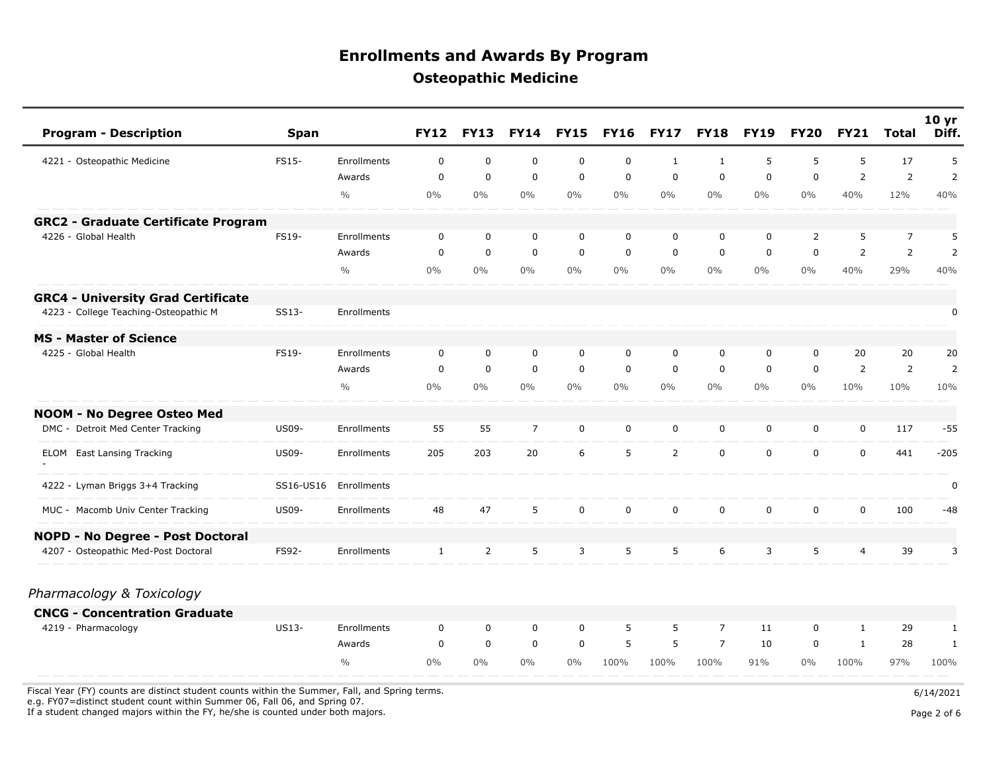| <b>Program - Description</b>               | <b>Span</b>  |               | <b>FY12</b> | <b>FY13</b> | <b>FY14</b>    | <b>FY15</b> | <b>FY16</b> | <b>FY17</b>    | <b>FY18</b>    | <b>FY19</b> | <b>FY20</b>    | <b>FY21</b>    | <b>Total</b>   | 10 <sub>yr</sub><br>Diff. |
|--------------------------------------------|--------------|---------------|-------------|-------------|----------------|-------------|-------------|----------------|----------------|-------------|----------------|----------------|----------------|---------------------------|
| 4221 - Osteopathic Medicine                | <b>FS15-</b> | Enrollments   | $\mathbf 0$ | $\mathbf 0$ | $\mathbf 0$    | $\mathbf 0$ | $\mathbf 0$ | $\mathbf{1}$   | $\mathbf{1}$   | 5           | 5              | 5              | 17             | 5                         |
|                                            |              | Awards        | $\mathbf 0$ | $\mathbf 0$ | 0              | $\mathbf 0$ | $\mathbf 0$ | $\mathbf 0$    | 0              | $\mathbf 0$ | 0              | $\overline{2}$ | $\overline{2}$ | $\overline{2}$            |
|                                            |              | $\frac{0}{0}$ | $0\%$       | $0\%$       | $0\%$          | $0\%$       | $0\%$       | $0\%$          | $0\%$          | $0\%$       | $0\%$          | 40%            | 12%            | 40%                       |
| <b>GRC2 - Graduate Certificate Program</b> |              |               |             |             |                |             |             |                |                |             |                |                |                |                           |
| 4226 - Global Health                       | FS19-        | Enrollments   | $\mathbf 0$ | $\mathbf 0$ | $\mathbf 0$    | $\mathbf 0$ | $\mathbf 0$ | $\mathbf 0$    | 0              | 0           | $\overline{2}$ | 5              | $\overline{7}$ | 5                         |
|                                            |              | Awards        | $\mathbf 0$ | $\mathbf 0$ | 0              | $\mathbf 0$ | $\mathbf 0$ | $\mathbf 0$    | 0              | $\mathbf 0$ | 0              | 2              | $\overline{2}$ | $\overline{2}$            |
|                                            |              | $\frac{0}{0}$ | $0\%$       | $0\%$       | $0\%$          | $0\%$       | $0\%$       | $0\%$          | $0\%$          | $0\%$       | $0\%$          | 40%            | 29%            | 40%                       |
| <b>GRC4 - University Grad Certificate</b>  |              |               |             |             |                |             |             |                |                |             |                |                |                |                           |
| 4223 - College Teaching-Osteopathic M      | SS13-        | Enrollments   |             |             |                |             |             |                |                |             |                |                |                | $\pmb{0}$                 |
| <b>MS - Master of Science</b>              |              |               |             |             |                |             |             |                |                |             |                |                |                |                           |
| 4225 - Global Health                       | FS19-        | Enrollments   | $\mathbf 0$ | $\mathbf 0$ | $\mathbf 0$    | 0           | $\mathbf 0$ | $\mathbf 0$    | $\mathbf 0$    | $\mathbf 0$ | 0              | 20             | 20             | 20                        |
|                                            |              | Awards        | $\mathbf 0$ | $\mathbf 0$ | $\mathbf 0$    | $\mathbf 0$ | $\mathbf 0$ | $\mathbf 0$    | 0              | $\mathbf 0$ | 0              | $\overline{2}$ | 2              | $\overline{2}$            |
|                                            |              | $\frac{0}{0}$ | $0\%$       | $0\%$       | $0\%$          | $0\%$       | $0\%$       | $0\%$          | $0\%$          | $0\%$       | $0\%$          | 10%            | 10%            | 10%                       |
| NOOM - No Degree Osteo Med                 |              |               |             |             |                |             |             |                |                |             |                |                |                |                           |
| DMC - Detroit Med Center Tracking          | <b>US09-</b> | Enrollments   | 55          | 55          | $\overline{7}$ | $\mathbf 0$ | $\mathbf 0$ | 0              | 0              | 0           | 0              | $\mathbf 0$    | 117            | $-55$                     |
| <b>ELOM</b> East Lansing Tracking          | <b>US09-</b> | Enrollments   | 205         | 203         | 20             | 6           | 5           | $\overline{2}$ | 0              | $\mathbf 0$ | 0              | $\mathbf 0$    | 441            | $-205$                    |
| 4222 - Lyman Briggs 3+4 Tracking           | SS16-US16    | Enrollments   |             |             |                |             |             |                |                |             |                |                |                | $\pmb{0}$                 |
| MUC - Macomb Univ Center Tracking          | <b>US09-</b> | Enrollments   | 48          | 47          | 5              | $\mathbf 0$ | $\mathbf 0$ | $\mathbf 0$    | 0              | $\mathbf 0$ | 0              | $\mathbf 0$    | 100            | $-48$                     |
| NOPD - No Degree - Post Doctoral           |              |               |             |             |                |             |             |                |                |             |                |                |                |                           |
| 4207 - Osteopathic Med-Post Doctoral       | FS92-        | Enrollments   | 1           | 2           | 5              | 3           | 5           | 5              | 6              | 3           | 5              | 4              | 39             | 3                         |
| Pharmacology & Toxicology                  |              |               |             |             |                |             |             |                |                |             |                |                |                |                           |
| <b>CNCG - Concentration Graduate</b>       |              |               |             |             |                |             |             |                |                |             |                |                |                |                           |
| 4219 - Pharmacology                        | US13-        | Enrollments   | $\mathbf 0$ | $\mathbf 0$ | $\mathbf 0$    | 0           | 5           | 5              | $\overline{7}$ | 11          | 0              | $\mathbf{1}$   | 29             | $\mathbf{1}$              |
|                                            |              | Awards        | $\mathbf 0$ | $\mathbf 0$ | $\mathbf 0$    | $\mathbf 0$ | 5           | 5              | $\overline{7}$ | 10          | 0              | $\mathbf{1}$   | 28             | 1                         |
|                                            |              | $\frac{0}{0}$ | $0\%$       | $0\%$       | $0\%$          | $0\%$       | 100%        | 100%           | 100%           | 91%         | $0\%$          | 100%           | 97%            | 100%                      |

Fiscal Year (FY) counts are distinct student counts within the Summer, Fall, and Spring terms.  $6/14/2021$ 

e.g. FY07=distinct student count within Summer 06, Fall 06, and Spring 07.

If a student changed majors within the FY, he/she is counted under both majors. Page 2 of 6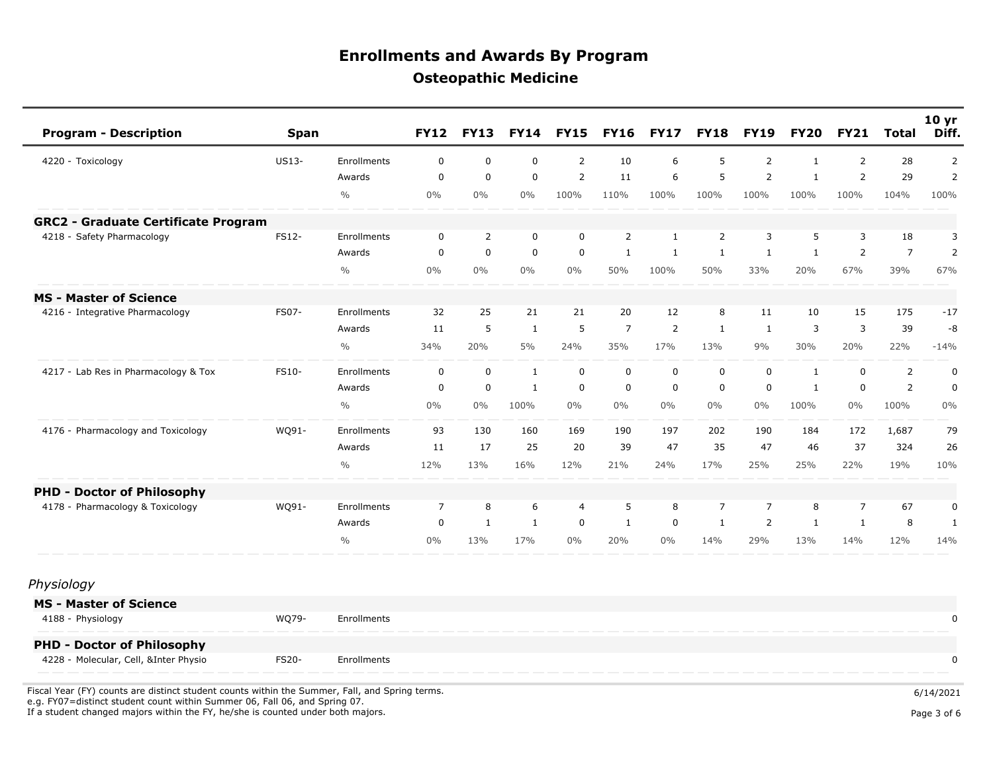| <b>Program - Description</b>               | <b>Span</b>  |               | <b>FY12</b>    | <b>FY13</b>    | <b>FY14</b>  | <b>FY15</b>    | <b>FY16</b>    | <b>FY17</b>    | <b>FY18</b>    | <b>FY19</b>    | <b>FY20</b>  | <b>FY21</b>    | Total          | 10 <sub>yr</sub><br>Diff. |
|--------------------------------------------|--------------|---------------|----------------|----------------|--------------|----------------|----------------|----------------|----------------|----------------|--------------|----------------|----------------|---------------------------|
| 4220 - Toxicology                          | <b>US13-</b> | Enrollments   | $\mathbf 0$    | $\mathbf 0$    | $\mathbf 0$  | $\overline{2}$ | 10             | 6              | 5              | $\overline{2}$ | $\mathbf{1}$ | 2              | 28             | 2                         |
|                                            |              | Awards        | $\Omega$       | $\mathbf 0$    | $\mathbf 0$  | $\overline{2}$ | 11             | 6              | 5              | 2              | $\mathbf{1}$ | 2              | 29             | $\overline{2}$            |
|                                            |              | $\frac{0}{0}$ | 0%             | 0%             | $0\%$        | 100%           | 110%           | 100%           | 100%           | 100%           | 100%         | 100%           | 104%           | 100%                      |
| <b>GRC2 - Graduate Certificate Program</b> |              |               |                |                |              |                |                |                |                |                |              |                |                |                           |
| 4218 - Safety Pharmacology                 | FS12-        | Enrollments   | $\mathbf 0$    | $\overline{2}$ | $\mathbf 0$  | $\mathbf 0$    | $\overline{2}$ | $\mathbf{1}$   | $\overline{2}$ | 3              | 5            | 3              | 18             | 3                         |
|                                            |              | Awards        | $\Omega$       | $\mathbf 0$    | $\mathbf 0$  | $\mathbf 0$    | $\mathbf{1}$   | 1              | 1              | $\mathbf{1}$   | $\mathbf{1}$ | 2              | $\overline{7}$ | $\overline{2}$            |
|                                            |              | $\frac{0}{0}$ | 0%             | 0%             | $0\%$        | 0%             | 50%            | 100%           | 50%            | 33%            | 20%          | 67%            | 39%            | 67%                       |
| <b>MS - Master of Science</b>              |              |               |                |                |              |                |                |                |                |                |              |                |                |                           |
| 4216 - Integrative Pharmacology            | FS07-        | Enrollments   | 32             | 25             | 21           | 21             | 20             | 12             | 8              | 11             | 10           | 15             | 175            | $-17$                     |
|                                            |              | Awards        | 11             | 5              | $\mathbf{1}$ | 5              | $\overline{7}$ | $\overline{2}$ | $\mathbf{1}$   | $\mathbf{1}$   | 3            | 3              | 39             | -8                        |
|                                            |              | $\frac{0}{0}$ | 34%            | 20%            | 5%           | 24%            | 35%            | 17%            | 13%            | 9%             | 30%          | 20%            | 22%            | $-14%$                    |
| 4217 - Lab Res in Pharmacology & Tox       | FS10-        | Enrollments   | $\mathbf 0$    | $\mathbf 0$    | $\mathbf{1}$ | $\mathbf 0$    | $\mathbf 0$    | $\mathbf 0$    | $\mathbf 0$    | $\mathbf 0$    | $\mathbf{1}$ | $\mathbf 0$    | 2              | 0                         |
|                                            |              | Awards        | $\Omega$       | $\Omega$       | $\mathbf{1}$ | $\Omega$       | $\mathbf 0$    | $\Omega$       | $\mathbf 0$    | $\mathbf 0$    | $\mathbf{1}$ | $\Omega$       | 2              | $\mathbf 0$               |
|                                            |              | $\frac{0}{0}$ | $0\%$          | 0%             | 100%         | 0%             | $0\%$          | 0%             | $0\%$          | $0\%$          | 100%         | $0\%$          | 100%           | 0%                        |
| 4176 - Pharmacology and Toxicology         | WQ91-        | Enrollments   | 93             | 130            | 160          | 169            | 190            | 197            | 202            | 190            | 184          | 172            | 1,687          | 79                        |
|                                            |              | Awards        | 11             | 17             | 25           | 20             | 39             | 47             | 35             | 47             | 46           | 37             | 324            | 26                        |
|                                            |              | $\frac{0}{0}$ | 12%            | 13%            | 16%          | 12%            | 21%            | 24%            | 17%            | 25%            | 25%          | 22%            | 19%            | 10%                       |
| <b>PHD - Doctor of Philosophy</b>          |              |               |                |                |              |                |                |                |                |                |              |                |                |                           |
| 4178 - Pharmacology & Toxicology           | WQ91-        | Enrollments   | $\overline{7}$ | 8              | 6            | $\overline{4}$ | 5              | 8              | $\overline{7}$ | $\overline{7}$ | 8            | $\overline{7}$ | 67             | 0                         |
|                                            |              | Awards        | $\mathbf 0$    | 1              | $\mathbf{1}$ | $\mathbf 0$    | $\mathbf{1}$   | $\mathbf 0$    | $\mathbf{1}$   | $\overline{2}$ | $\mathbf{1}$ | $\mathbf{1}$   | 8              | $\mathbf{1}$              |
|                                            |              | $\frac{0}{0}$ | $0\%$          | 13%            | 17%          | 0%             | 20%            | 0%             | 14%            | 29%            | 13%          | 14%            | 12%            | 14%                       |
| Physiology                                 |              |               |                |                |              |                |                |                |                |                |              |                |                |                           |

| <b>MS - Master of Science</b>         |              |             |  |
|---------------------------------------|--------------|-------------|--|
| 4188 - Physiology                     | WO79-        | Enrollments |  |
| <b>PHD - Doctor of Philosophy</b>     |              |             |  |
| 4228 - Molecular, Cell, &Inter Physio | <b>FS20-</b> | Enrollments |  |
|                                       |              |             |  |

Fiscal Year (FY) counts are distinct student counts within the Summer, Fall, and Spring terms.  $6/14/2021$  e.g. FY07=distinct student count within Summer 06, Fall 06, and Spring 07. If a student changed majors within the FY, he/she is counted under both majors. Page 3 of 6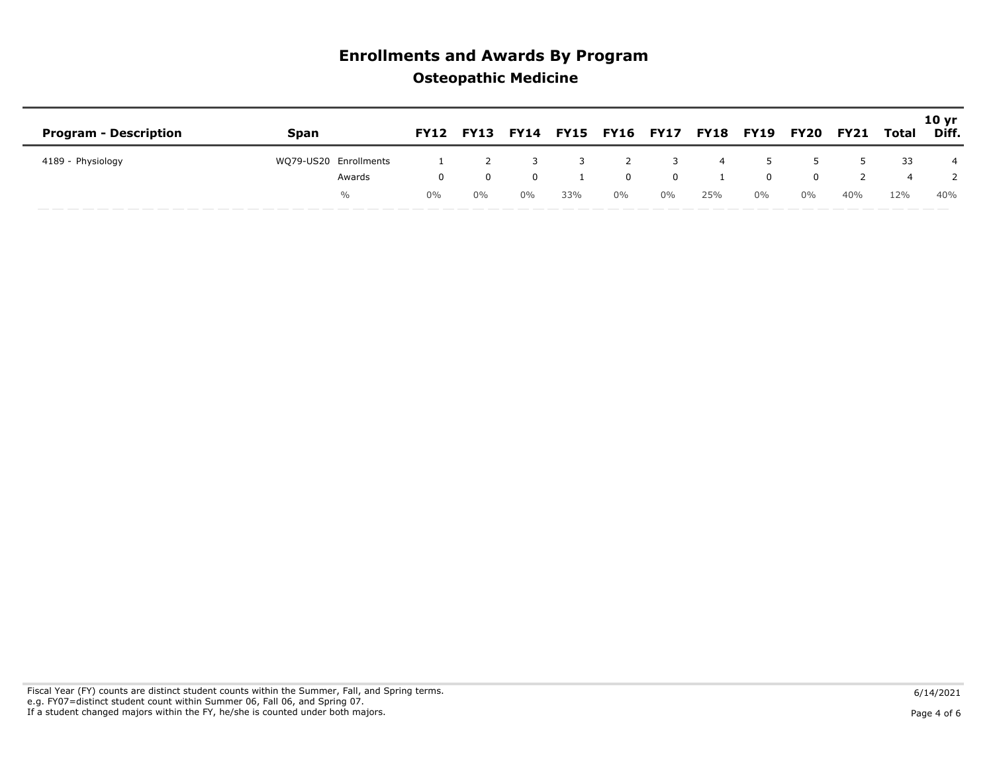|                              |                       |            |            |                                                         |                         |                |                         |          |          |                  |     |     | 10 <sub>yr</sub> |
|------------------------------|-----------------------|------------|------------|---------------------------------------------------------|-------------------------|----------------|-------------------------|----------|----------|------------------|-----|-----|------------------|
| <b>Program - Description</b> | Span                  |            |            | FY12 FY13 FY14 FY15 FY16 FY17 FY18 FY19 FY20 FY21 Total |                         |                |                         |          |          |                  |     |     | Diff.            |
| 4189 - Physiology            | WQ79-US20 Enrollments |            | 2          |                                                         | $\overline{\mathbf{3}}$ | $\overline{2}$ | $\overline{\mathbf{3}}$ | $\sim$ 4 |          | $5^{\circ}$<br>5 | 5   | -33 | 4                |
|                              | Awards                | $^{\circ}$ | $^{\circ}$ | $\Omega$                                                |                         | $\Omega$       | $\Omega$                |          | $\Omega$ | $\Omega$         |     |     |                  |
|                              | $\%$                  | $0\%$      | $0\%$      | $0\%$                                                   | 33%                     | $0\%$          | $0\%$                   | 25%      | $0\%$    | $0\%$            | 40% | 12% | 40%              |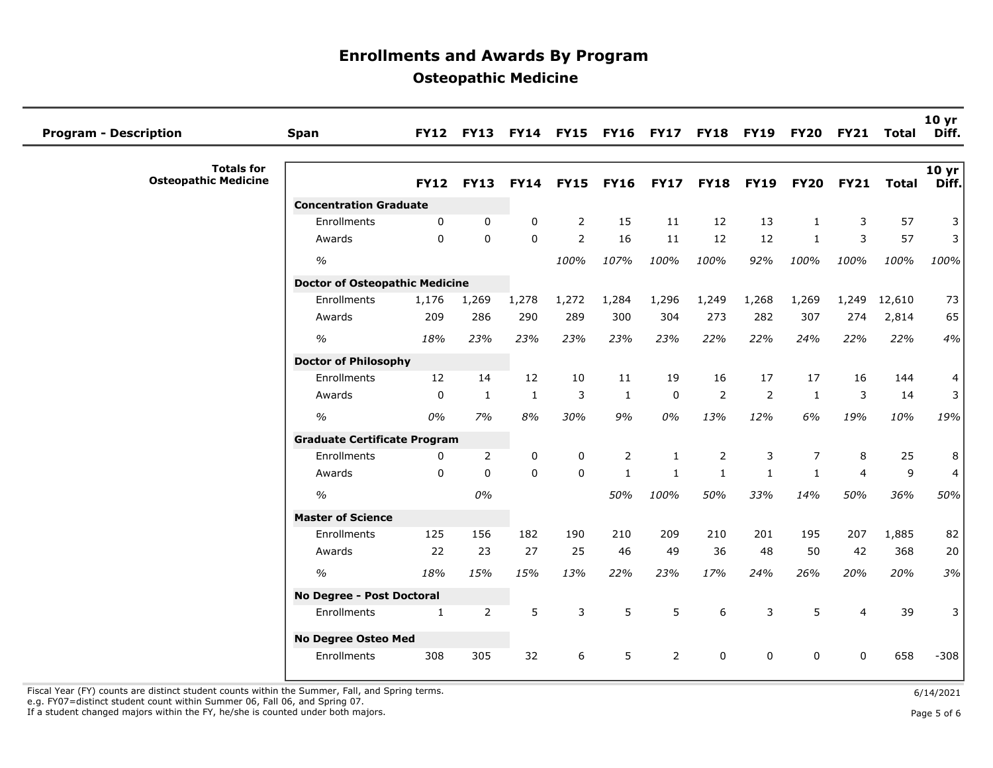| <b>Program - Description</b>                     | <b>Span</b>                           | <b>FY12</b>  | <b>FY13</b>    | <b>FY14</b>  | <b>FY15</b>    | <b>FY16</b>      | <b>FY17</b>    | <b>FY18</b>    | <b>FY19</b>    | <b>FY20</b>  | <b>FY21</b>    | Total        | 10 <sub>yr</sub><br>Diff. |
|--------------------------------------------------|---------------------------------------|--------------|----------------|--------------|----------------|------------------|----------------|----------------|----------------|--------------|----------------|--------------|---------------------------|
| <b>Totals for</b><br><b>Osteopathic Medicine</b> |                                       | <b>FY12</b>  | <b>FY13</b>    | <b>FY14</b>  |                | <b>FY15 FY16</b> | <b>FY17</b>    | <b>FY18</b>    | <b>FY19</b>    | <b>FY20</b>  | <b>FY21</b>    | <b>Total</b> | 10 yr<br>Diff.            |
|                                                  | <b>Concentration Graduate</b>         |              |                |              |                |                  |                |                |                |              |                |              |                           |
|                                                  | Enrollments                           | 0            | $\mathbf{0}$   | $\mathbf{0}$ | $\overline{2}$ | 15               | 11             | 12             | 13             | $\mathbf{1}$ | 3              | 57           | 3                         |
|                                                  | Awards                                | $\Omega$     | $\mathbf{0}$   | $\Omega$     | $\overline{2}$ | 16               | 11             | 12             | 12             | $\mathbf{1}$ | 3              | 57           | 3                         |
|                                                  | $\frac{1}{2}$                         |              |                |              | 100%           | 107%             | 100%           | 100%           | 92%            | 100%         | 100%           | 100%         | 100%                      |
|                                                  | <b>Doctor of Osteopathic Medicine</b> |              |                |              |                |                  |                |                |                |              |                |              |                           |
|                                                  | Enrollments                           | 1,176        | 1,269          | 1,278        | 1,272          | 1,284            | 1,296          | 1,249          | 1,268          | 1,269        | 1,249          | 12,610       | 73                        |
|                                                  | Awards                                | 209          | 286            | 290          | 289            | 300              | 304            | 273            | 282            | 307          | 274            | 2,814        | 65                        |
|                                                  | $\frac{0}{0}$                         | 18%          | 23%            | 23%          | 23%            | 23%              | 23%            | 22%            | 22%            | 24%          | 22%            | 22%          | 4%                        |
|                                                  | <b>Doctor of Philosophy</b>           |              |                |              |                |                  |                |                |                |              |                |              |                           |
|                                                  | Enrollments                           | 12           | 14             | 12           | 10             | 11               | 19             | 16             | 17             | 17           | 16             | 144          | $\overline{4}$            |
|                                                  | Awards                                | $\mathbf 0$  | $\mathbf{1}$   | $\mathbf{1}$ | 3              | $\mathbf{1}$     | $\mathbf 0$    | $\overline{2}$ | $\overline{2}$ | $\mathbf{1}$ | 3              | 14           | 3 <sup>1</sup>            |
|                                                  | $\%$                                  | 0%           | 7%             | $8\%$        | 30%            | 9%               | 0%             | 13%            | 12%            | 6%           | 19%            | 10%          | 19%                       |
|                                                  | <b>Graduate Certificate Program</b>   |              |                |              |                |                  |                |                |                |              |                |              |                           |
|                                                  | Enrollments                           | 0            | 2              | 0            | 0              | 2                | 1              | 2              | 3              | 7            | 8              | 25           | 8                         |
|                                                  | Awards                                | 0            | $\mathbf{0}$   | $\mathbf 0$  | $\mathbf 0$    | $\mathbf{1}$     | $\mathbf{1}$   | $\mathbf{1}$   | $\mathbf{1}$   | $\mathbf{1}$ | $\overline{4}$ | $\mathsf 9$  | $\overline{4}$            |
|                                                  | $\%$                                  |              | 0%             |              |                | 50%              | 100%           | 50%            | 33%            | 14%          | 50%            | 36%          | 50%                       |
|                                                  | <b>Master of Science</b>              |              |                |              |                |                  |                |                |                |              |                |              |                           |
|                                                  | Enrollments                           | 125          | 156            | 182          | 190            | 210              | 209            | 210            | 201            | 195          | 207            | 1,885        | 82                        |
|                                                  | Awards                                | 22           | 23             | 27           | 25             | 46               | 49             | 36             | 48             | 50           | 42             | 368          | 20                        |
|                                                  | $\frac{0}{0}$                         | 18%          | 15%            | 15%          | 13%            | 22%              | 23%            | 17%            | 24%            | 26%          | 20%            | 20%          | 3%                        |
|                                                  | No Degree - Post Doctoral             |              |                |              |                |                  |                |                |                |              |                |              |                           |
|                                                  | Enrollments                           | $\mathbf{1}$ | $\overline{2}$ | 5            | 3              | 5                | 5              | 6              | 3              | 5            | $\overline{4}$ | 39           | 3                         |
|                                                  | <b>No Degree Osteo Med</b>            |              |                |              |                |                  |                |                |                |              |                |              |                           |
|                                                  | Enrollments                           | 308          | 305            | 32           | 6              | 5                | $\overline{2}$ | $\mathbf 0$    | $\mathbf 0$    | $\Omega$     | $\mathbf{0}$   | 658          | $-308$                    |

Fiscal Year (FY) counts are distinct student counts within the Summer, Fall, and Spring terms.<br>e.g. FY07=distinct student count within Summer 06, Fall 06, and Spring 07.

If a student changed majors within the FY, he/she is counted under both majors. Page 5 of 6